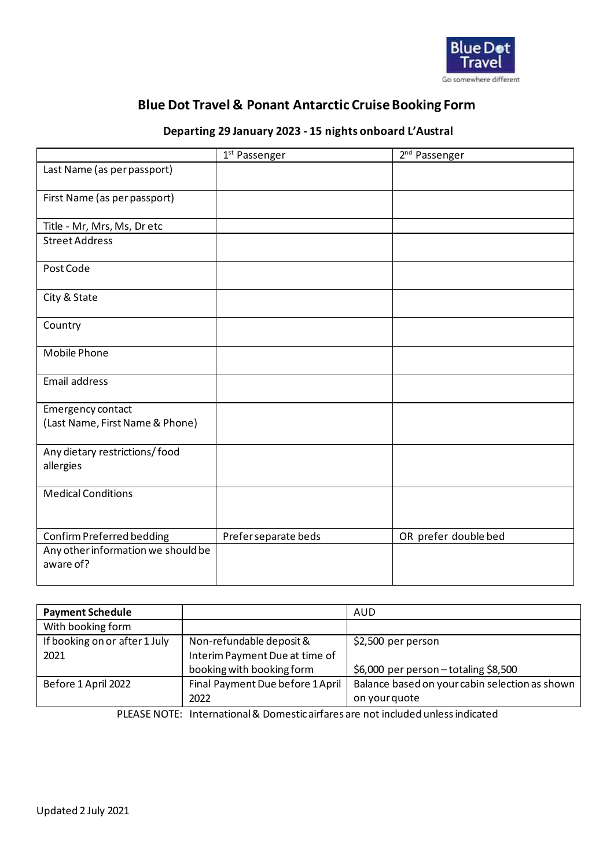

## **Blue Dot Travel & Ponant Antarctic Cruise Booking Form**

## **Departing 29 January 2023 - 15 nights onboard L'Austral**

|                                                      | 1 <sup>st</sup> Passenger | 2 <sup>nd</sup> Passenger |
|------------------------------------------------------|---------------------------|---------------------------|
| Last Name (as per passport)                          |                           |                           |
| First Name (as per passport)                         |                           |                           |
| Title - Mr, Mrs, Ms, Dr etc                          |                           |                           |
| <b>Street Address</b>                                |                           |                           |
| Post Code                                            |                           |                           |
| City & State                                         |                           |                           |
| Country                                              |                           |                           |
| <b>Mobile Phone</b>                                  |                           |                           |
| Email address                                        |                           |                           |
| Emergency contact<br>(Last Name, First Name & Phone) |                           |                           |
| Any dietary restrictions/food<br>allergies           |                           |                           |
| <b>Medical Conditions</b>                            |                           |                           |
| Confirm Preferred bedding                            | Prefer separate beds      | OR prefer double bed      |
| Any other information we should be<br>aware of?      |                           |                           |

| <b>Payment Schedule</b>       |                                  | AUD                                            |
|-------------------------------|----------------------------------|------------------------------------------------|
| With booking form             |                                  |                                                |
| If booking on or after 1 July | Non-refundable deposit &         | \$2,500 per person                             |
| 2021                          | Interim Payment Due at time of   |                                                |
|                               | booking with booking form        | \$6,000 per person - totaling \$8,500          |
| Before 1 April 2022           | Final Payment Due before 1 April | Balance based on your cabin selection as shown |
|                               | 2022                             | on your quote                                  |

PLEASE NOTE: International & Domestic airfares are not included unless indicated